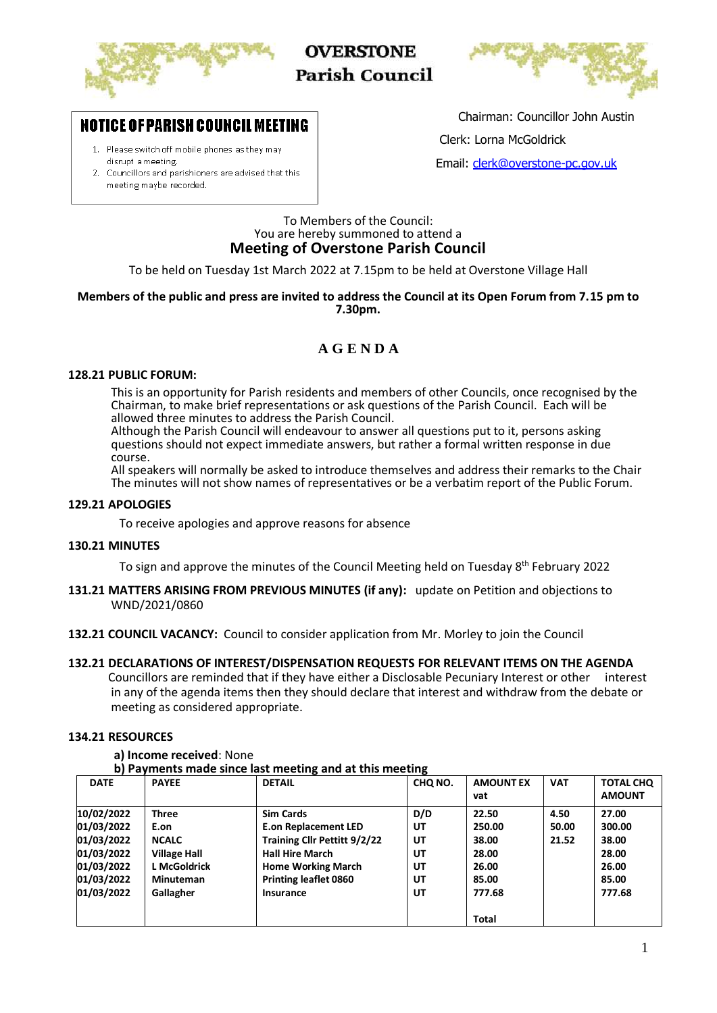

**OVERSTONE Parish Council** 



# **NOTICE OF PARISH COUNCIL MEETING**

- 1. Please switch off mobile phones as they may disrupt a meeting.
- 2. Councillors and parishioners are advised that this meeting maybe recorded.

Chairman: Councillor John Austin

Clerk: Lorna McGoldrick

Email: [clerk@overstone-pc.gov.uk](mailto:clerk@overstone-pc.gov.uk)

### To Members of the Council: You are hereby summoned to attend a **Meeting of Overstone Parish Council**

To be held on Tuesday 1st March 2022 at 7.15pm to be held at Overstone Village Hall

### **Members of the public and press are invited to address the Council at its Open Forum from 7.15 pm to 7.30pm.**

# **A G E N D A**

### **128.21 PUBLIC FORUM:**

This is an opportunity for Parish residents and members of other Councils, once recognised by the Chairman, to make brief representations or ask questions of the Parish Council. Each will be allowed three minutes to address the Parish Council.

Although the Parish Council will endeavour to answer all questions put to it, persons asking questions should not expect immediate answers, but rather a formal written response in due course.

All speakers will normally be asked to introduce themselves and address their remarks to the Chair The minutes will not show names of representatives or be a verbatim report of the Public Forum.

### **129.21 APOLOGIES**

To receive apologies and approve reasons for absence

### **130.21 MINUTES**

To sign and approve the minutes of the Council Meeting held on Tuesday 8<sup>th</sup> February 2022

- **131.21 MATTERS ARISING FROM PREVIOUS MINUTES (if any):** update on Petition and objections to WND/2021/0860
- **132.21 COUNCIL VACANCY:** Council to consider application from Mr. Morley to join the Council
- **132.21 DECLARATIONS OF INTEREST/DISPENSATION REQUESTS FOR RELEVANT ITEMS ON THE AGENDA** Councillors are reminded that if they have either a Disclosable Pecuniary Interest or other interest in any of the agenda items then they should declare that interest and withdraw from the debate or meeting as considered appropriate.

### **134.21 RESOURCES**

#### **a) Income received**: None

**b) Payments made since last meeting and at this meeting**

| <b>DATE</b> | <b>PAYEE</b>        | <b>DETAIL</b>                | CHQ NO. | <b>AMOUNT EX</b> | <b>VAT</b> | <b>TOTAL CHQ</b> |
|-------------|---------------------|------------------------------|---------|------------------|------------|------------------|
|             |                     |                              |         | vat              |            | <b>AMOUNT</b>    |
| 10/02/2022  | <b>Three</b>        | <b>Sim Cards</b>             | D/D     | 22.50            | 4.50       | 27.00            |
| 01/03/2022  | E.on                | <b>E.on Replacement LED</b>  | UT      | 250.00           | 50.00      | 300.00           |
| 01/03/2022  | <b>NCALC</b>        | Training Cllr Pettitt 9/2/22 | UT      | 38.00            | 21.52      | 38.00            |
| 01/03/2022  | <b>Village Hall</b> | <b>Hall Hire March</b>       | UT      | 28.00            |            | 28.00            |
| 01/03/2022  | L McGoldrick        | <b>Home Working March</b>    | UT      | 26.00            |            | 26.00            |
| 01/03/2022  | <b>Minuteman</b>    | <b>Printing leaflet 0860</b> | UT      | 85.00            |            | 85.00            |
| 01/03/2022  | Gallagher           | Insurance                    | UT      | 777.68           |            | 777.68           |
|             |                     |                              |         | <b>Total</b>     |            |                  |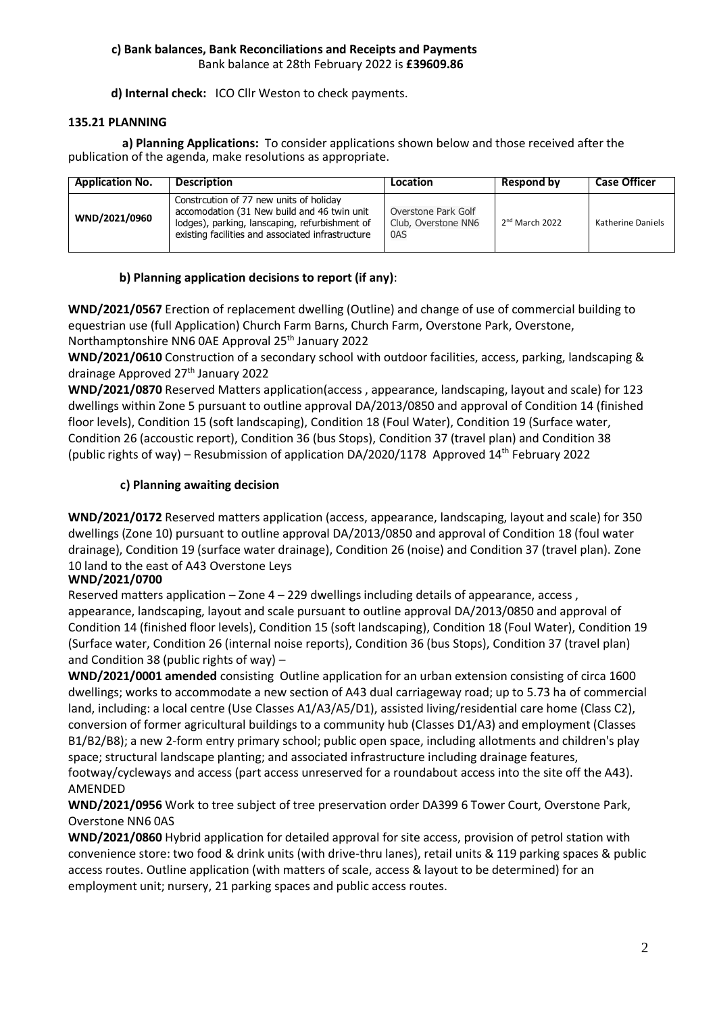### **c) Bank balances, Bank Reconciliations and Receipts and Payments** Bank balance at 28th February 2022 is **£39609.86**

**d) Internal check:** ICO Cllr Weston to check payments.

### **135.21 PLANNING**

 **a) Planning Applications:** To consider applications shown below and those received after the publication of the agenda, make resolutions as appropriate.

| <b>Application No.</b> | <b>Description</b>                                                                                                                                                                            | Location                                          | Respond by       | <b>Case Officer</b>      |
|------------------------|-----------------------------------------------------------------------------------------------------------------------------------------------------------------------------------------------|---------------------------------------------------|------------------|--------------------------|
| WND/2021/0960          | Constrcution of 77 new units of holiday<br>accomodation (31 New build and 46 twin unit<br>lodges), parking, lanscaping, refurbishment of<br>existing facilities and associated infrastructure | Overstone Park Golf<br>Club, Overstone NN6<br>0AS | $2nd$ March 2022 | <b>Katherine Daniels</b> |

# **b) Planning application decisions to report (if any)**:

**WND/2021/0567** Erection of replacement dwelling (Outline) and change of use of commercial building to equestrian use (full Application) Church Farm Barns, Church Farm, Overstone Park, Overstone, Northamptonshire NN6 0AE Approval 25th January 2022

**WND/2021/0610** Construction of a secondary school with outdoor facilities, access, parking, landscaping & drainage Approved 27<sup>th</sup> January 2022

**WND/2021/0870** Reserved Matters application(access , appearance, landscaping, layout and scale) for 123 dwellings within Zone 5 pursuant to outline approval DA/2013/0850 and approval of Condition 14 (finished floor levels), Condition 15 (soft landscaping), Condition 18 (Foul Water), Condition 19 (Surface water, Condition 26 (accoustic report), Condition 36 (bus Stops), Condition 37 (travel plan) and Condition 38 (public rights of way) – Resubmission of application DA/2020/1178 Approved 14th February 2022

# **c) Planning awaiting decision**

**WND/2021/0172** Reserved matters application (access, appearance, landscaping, layout and scale) for 350 dwellings (Zone 10) pursuant to outline approval DA/2013/0850 and approval of Condition 18 (foul water drainage), Condition 19 (surface water drainage), Condition 26 (noise) and Condition 37 (travel plan). Zone 10 land to the east of A43 Overstone Leys

# **WND/2021/0700**

Reserved matters application – Zone  $4 - 229$  dwellings including details of appearance, access, appearance, landscaping, layout and scale pursuant to outline approval DA/2013/0850 and approval of Condition 14 (finished floor levels), Condition 15 (soft landscaping), Condition 18 (Foul Water), Condition 19 (Surface water, Condition 26 (internal noise reports), Condition 36 (bus Stops), Condition 37 (travel plan) and Condition 38 (public rights of way) –

**DA/2020/000 WND/2021/0001 amended** consisting Outline application for an urban extension consisting of circa 1600 dwellings; works to accommodate a new section of A43 dual carriageway road; up to 5.73 ha of commercial land, including: a local centre (Use Classes A1/A3/A5/D1), assisted living/residential care home (Class C2), conversion of former agricultural buildings to a community hub (Classes D1/A3) and employment (Classes B1/B2/B8); a new 2-form entry primary school; public open space, including allotments and children's play space; structural landscape planting; and associated infrastructure including drainage features, footway/cycleways and access (part access unreserved for a roundabout access into the site off the A43). AMENDED

**WND/2021/0956** Work to tree subject of tree preservation order DA399 6 Tower Court, Overstone Park, Overstone NN6 0AS

**WND/2021/0860** Hybrid application for detailed approval for site access, provision of petrol station with convenience store: two food & drink units (with drive-thru lanes), retail units & 119 parking spaces & public access routes. Outline application (with matters of scale, access & layout to be determined) for an employment unit; nursery, 21 parking spaces and public access routes.